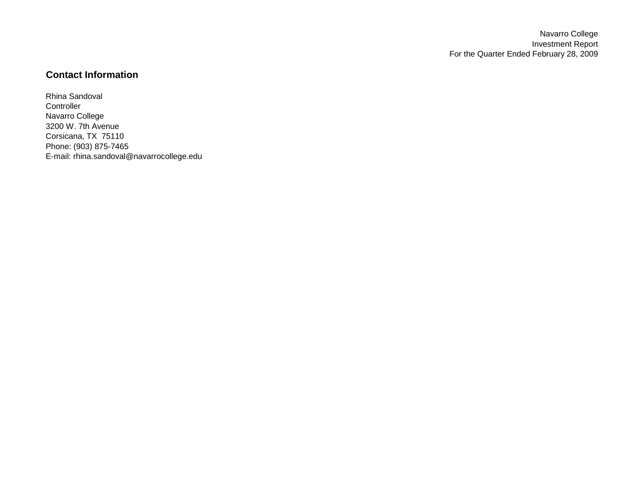Navarro College Investment Report For the Quarter Ended February 28, 2009

## **Contact Information**

Rhina Sandoval **Controller** Navarro College 3200 W. 7th Avenue Corsicana, TX 75110 Phone: (903) 875-7465 E-mail: rhina.sandoval@navarrocollege.edu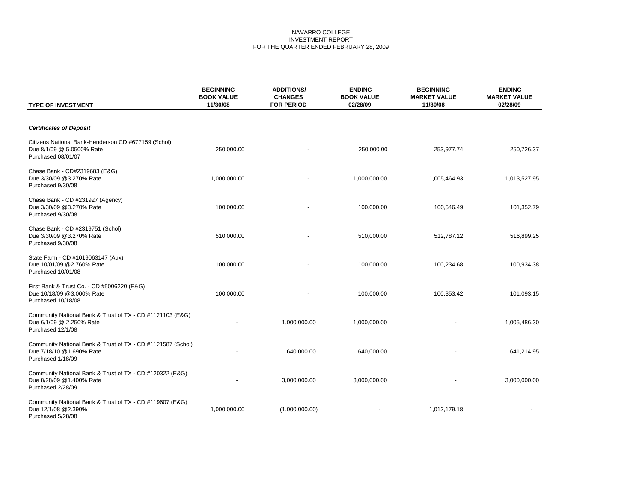#### NAVARRO COLLEGE INVESTMENT REPORT FOR THE QUARTER ENDED FEBRUARY 28, 2009

| <b>TYPE OF INVESTMENT</b>                                                                                    | <b>BEGINNING</b><br><b>BOOK VALUE</b><br>11/30/08 | <b>ADDITIONS/</b><br><b>CHANGES</b><br><b>FOR PERIOD</b> | <b>ENDING</b><br><b>BOOK VALUE</b><br>02/28/09 | <b>BEGINNING</b><br><b>MARKET VALUE</b><br>11/30/08 | <b>ENDING</b><br><b>MARKET VALUE</b><br>02/28/09 |
|--------------------------------------------------------------------------------------------------------------|---------------------------------------------------|----------------------------------------------------------|------------------------------------------------|-----------------------------------------------------|--------------------------------------------------|
| <b>Certificates of Deposit</b>                                                                               |                                                   |                                                          |                                                |                                                     |                                                  |
| Citizens National Bank-Henderson CD #677159 (Schol)<br>Due 8/1/09 @ 5.0500% Rate<br>Purchased 08/01/07       | 250,000.00                                        |                                                          | 250,000.00                                     | 253,977.74                                          | 250,726.37                                       |
| Chase Bank - CD#2319683 (E&G)<br>Due 3/30/09 @3.270% Rate<br>Purchased 9/30/08                               | 1,000,000.00                                      |                                                          | 1,000,000.00                                   | 1,005,464.93                                        | 1,013,527.95                                     |
| Chase Bank - CD #231927 (Agency)<br>Due 3/30/09 @3.270% Rate<br>Purchased 9/30/08                            | 100,000.00                                        |                                                          | 100,000.00                                     | 100,546.49                                          | 101,352.79                                       |
| Chase Bank - CD #2319751 (Schol)<br>Due 3/30/09 @3.270% Rate<br>Purchased 9/30/08                            | 510,000.00                                        |                                                          | 510,000.00                                     | 512,787.12                                          | 516,899.25                                       |
| State Farm - CD #1019063147 (Aux)<br>Due 10/01/09 @2.760% Rate<br>Purchased 10/01/08                         | 100,000.00                                        |                                                          | 100,000.00                                     | 100,234.68                                          | 100,934.38                                       |
| First Bank & Trust Co. - CD #5006220 (E&G)<br>Due 10/18/09 @3.000% Rate<br>Purchased 10/18/08                | 100,000.00                                        |                                                          | 100,000.00                                     | 100,353.42                                          | 101,093.15                                       |
| Community National Bank & Trust of TX - CD #1121103 (E&G)<br>Due 6/1/09 @ 2.250% Rate<br>Purchased 12/1/08   |                                                   | 1,000,000.00                                             | 1,000,000.00                                   |                                                     | 1,005,486.30                                     |
| Community National Bank & Trust of TX - CD #1121587 (Schol)<br>Due 7/18/10 @1.690% Rate<br>Purchased 1/18/09 |                                                   | 640,000.00                                               | 640,000.00                                     |                                                     | 641,214.95                                       |
| Community National Bank & Trust of TX - CD #120322 (E&G)<br>Due 8/28/09 @1.400% Rate<br>Purchased 2/28/09    |                                                   | 3,000,000.00                                             | 3,000,000.00                                   |                                                     | 3,000,000.00                                     |
| Community National Bank & Trust of TX - CD #119607 (E&G)<br>Due 12/1/08 @2.390%<br>Purchased 5/28/08         | 1,000,000.00                                      | (1,000,000.00)                                           |                                                | 1,012,179.18                                        |                                                  |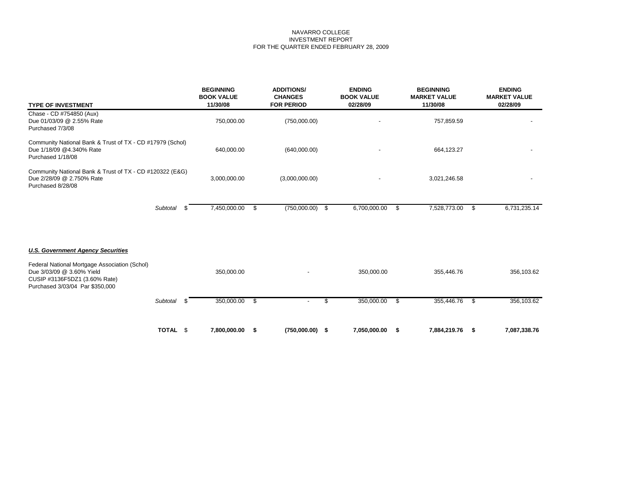#### NAVARRO COLLEGE INVESTMENT REPORT FOR THE QUARTER ENDED FEBRUARY 28, 2009

| <b>TYPE OF INVESTMENT</b>                                                                                                                      | <b>BEGINNING</b><br><b>BOOK VALUE</b><br>11/30/08 |      | <b>ADDITIONS/</b><br><b>CHANGES</b><br><b>FOR PERIOD</b> | <b>ENDING</b><br><b>BOOK VALUE</b><br>02/28/09 |      | <b>BEGINNING</b><br><b>MARKET VALUE</b><br>11/30/08 |      | <b>ENDING</b><br><b>MARKET VALUE</b><br>02/28/09 |
|------------------------------------------------------------------------------------------------------------------------------------------------|---------------------------------------------------|------|----------------------------------------------------------|------------------------------------------------|------|-----------------------------------------------------|------|--------------------------------------------------|
| Chase - CD #754850 (Aux)<br>Due 01/03/09 @ 2.55% Rate<br>Purchased 7/3/08                                                                      | 750,000.00                                        |      | (750,000.00)                                             |                                                |      | 757,859.59                                          |      |                                                  |
| Community National Bank & Trust of TX - CD #17979 (Schol)<br>Due 1/18/09 @4.340% Rate<br>Purchased 1/18/08                                     | 640,000.00                                        |      | (640,000.00)                                             |                                                |      | 664,123.27                                          |      |                                                  |
| Community National Bank & Trust of TX - CD #120322 (E&G)<br>Due 2/28/09 @ 2.750% Rate<br>Purchased 8/28/08                                     | 3,000,000.00                                      |      | (3,000,000.00)                                           |                                                |      | 3,021,246.58                                        |      |                                                  |
| Subtotal                                                                                                                                       | 7,450,000.00                                      | - \$ | (750,000.00)                                             | \$<br>6,700,000.00                             | - \$ | 7,528,773.00                                        | - \$ | 6,731,235.14                                     |
| <b>U.S. Government Agency Securities</b>                                                                                                       |                                                   |      |                                                          |                                                |      |                                                     |      |                                                  |
| Federal National Mortgage Association (Schol)<br>Due 3/03/09 @ 3.60% Yield<br>CUSIP #3136F5DZ1 (3.60% Rate)<br>Purchased 3/03/04 Par \$350,000 | 350,000.00                                        |      |                                                          | 350,000.00                                     |      | 355,446.76                                          |      | 356,103.62                                       |
| Subtotal<br>- \$                                                                                                                               | 350,000.00                                        | -\$  | $\overline{\phantom{a}}$                                 | \$<br>350,000.00                               | - \$ | 355,446.76                                          | - \$ | 356,103.62                                       |
| TOTAL \$                                                                                                                                       | 7,800,000.00                                      | - \$ | $(750,000.00)$ \$                                        | 7,050,000.00                                   | - \$ | 7,884,219.76                                        | - \$ | 7,087,338.76                                     |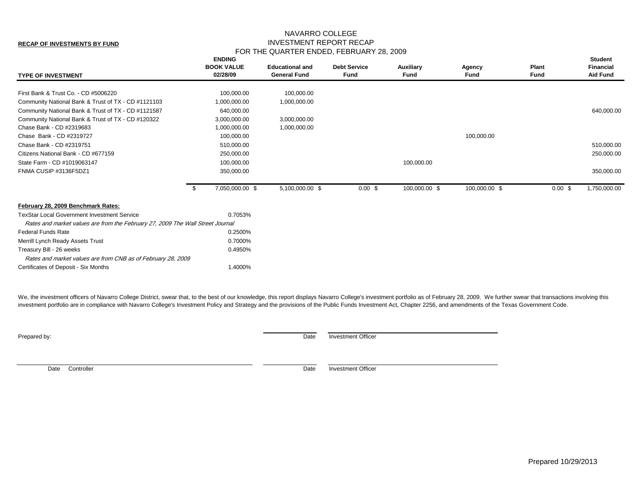#### **RECAP OF INVESTMENTS BY FUND**

### NAVARRO COLLEGE INVESTMENT REPORT RECAP FOR THE QUARTER ENDED, FEBRUARY 28, 2009

| First Bank & Trust Co. - CD #5006220<br>100,000.00<br>100,000.00<br>Community National Bank & Trust of TX - CD #1121103<br>1,000,000.00<br>1,000,000.00<br>Community National Bank & Trust of TX - CD #1121587<br>640,000.00<br>Community National Bank & Trust of TX - CD #120322<br>3,000,000.00<br>3,000,000.00<br>Chase Bank - CD #2319683<br>1,000,000.00<br>1,000,000.00<br>Chase Bank - CD #2319727<br>100,000.00<br>100,000.00<br>Chase Bank - CD #2319751<br>510,000.00<br>Citizens National Bank - CD #677159<br>250,000.00<br>250,000.00<br>100,000.00<br>State Farm - CD #1019063147<br>100,000.00<br>FNMA CUSIP #3136F5DZ1<br>350,000.00<br>7,050,000.00 \$<br>5,100,000.00 \$<br>100,000.00 \$<br>100,000.00 \$<br>0.00~\$<br>0.00~\$<br>- \$<br>February 28, 2009 Benchmark Rates:<br><b>TexStar Local Government Investment Service</b><br>0.7053%<br>Rates and market values are from the February 27, 2009 The Wall Street Journal<br>Federal Funds Rate<br>0.2500%<br>Merrill Lynch Ready Assets Trust<br>0.7000%<br>Treasury Bill - 26 weeks<br>0.4950%<br>Rates and market values are from CNB as of February 28, 2009<br>1.4000%<br>Certificates of Deposit - Six Months | <b>TYPE OF INVESTMENT</b> | <b>ENDING</b><br><b>BOOK VALUE</b><br>02/28/09 | <b>Educational and</b><br><b>General Fund</b> | <b>Debt Service</b><br>Fund | Auxiliary<br>Fund | Agency<br>Fund | <b>Plant</b><br>Fund | <b>Student</b><br><b>Financial</b><br><b>Aid Fund</b> |
|------------------------------------------------------------------------------------------------------------------------------------------------------------------------------------------------------------------------------------------------------------------------------------------------------------------------------------------------------------------------------------------------------------------------------------------------------------------------------------------------------------------------------------------------------------------------------------------------------------------------------------------------------------------------------------------------------------------------------------------------------------------------------------------------------------------------------------------------------------------------------------------------------------------------------------------------------------------------------------------------------------------------------------------------------------------------------------------------------------------------------------------------------------------------------------------------|---------------------------|------------------------------------------------|-----------------------------------------------|-----------------------------|-------------------|----------------|----------------------|-------------------------------------------------------|
|                                                                                                                                                                                                                                                                                                                                                                                                                                                                                                                                                                                                                                                                                                                                                                                                                                                                                                                                                                                                                                                                                                                                                                                                |                           |                                                |                                               |                             |                   |                |                      |                                                       |
|                                                                                                                                                                                                                                                                                                                                                                                                                                                                                                                                                                                                                                                                                                                                                                                                                                                                                                                                                                                                                                                                                                                                                                                                |                           |                                                |                                               |                             |                   |                |                      |                                                       |
|                                                                                                                                                                                                                                                                                                                                                                                                                                                                                                                                                                                                                                                                                                                                                                                                                                                                                                                                                                                                                                                                                                                                                                                                |                           |                                                |                                               |                             |                   |                |                      | 640,000.00                                            |
|                                                                                                                                                                                                                                                                                                                                                                                                                                                                                                                                                                                                                                                                                                                                                                                                                                                                                                                                                                                                                                                                                                                                                                                                |                           |                                                |                                               |                             |                   |                |                      |                                                       |
|                                                                                                                                                                                                                                                                                                                                                                                                                                                                                                                                                                                                                                                                                                                                                                                                                                                                                                                                                                                                                                                                                                                                                                                                |                           |                                                |                                               |                             |                   |                |                      |                                                       |
|                                                                                                                                                                                                                                                                                                                                                                                                                                                                                                                                                                                                                                                                                                                                                                                                                                                                                                                                                                                                                                                                                                                                                                                                |                           |                                                |                                               |                             |                   |                |                      |                                                       |
|                                                                                                                                                                                                                                                                                                                                                                                                                                                                                                                                                                                                                                                                                                                                                                                                                                                                                                                                                                                                                                                                                                                                                                                                |                           |                                                |                                               |                             |                   |                |                      | 510,000.00                                            |
|                                                                                                                                                                                                                                                                                                                                                                                                                                                                                                                                                                                                                                                                                                                                                                                                                                                                                                                                                                                                                                                                                                                                                                                                |                           |                                                |                                               |                             |                   |                |                      |                                                       |
|                                                                                                                                                                                                                                                                                                                                                                                                                                                                                                                                                                                                                                                                                                                                                                                                                                                                                                                                                                                                                                                                                                                                                                                                |                           |                                                |                                               |                             |                   |                |                      |                                                       |
|                                                                                                                                                                                                                                                                                                                                                                                                                                                                                                                                                                                                                                                                                                                                                                                                                                                                                                                                                                                                                                                                                                                                                                                                |                           |                                                |                                               |                             |                   |                |                      | 350,000.00                                            |
|                                                                                                                                                                                                                                                                                                                                                                                                                                                                                                                                                                                                                                                                                                                                                                                                                                                                                                                                                                                                                                                                                                                                                                                                |                           |                                                |                                               |                             |                   |                |                      | 1,750,000.00                                          |
|                                                                                                                                                                                                                                                                                                                                                                                                                                                                                                                                                                                                                                                                                                                                                                                                                                                                                                                                                                                                                                                                                                                                                                                                |                           |                                                |                                               |                             |                   |                |                      |                                                       |
|                                                                                                                                                                                                                                                                                                                                                                                                                                                                                                                                                                                                                                                                                                                                                                                                                                                                                                                                                                                                                                                                                                                                                                                                |                           |                                                |                                               |                             |                   |                |                      |                                                       |
|                                                                                                                                                                                                                                                                                                                                                                                                                                                                                                                                                                                                                                                                                                                                                                                                                                                                                                                                                                                                                                                                                                                                                                                                |                           |                                                |                                               |                             |                   |                |                      |                                                       |
|                                                                                                                                                                                                                                                                                                                                                                                                                                                                                                                                                                                                                                                                                                                                                                                                                                                                                                                                                                                                                                                                                                                                                                                                |                           |                                                |                                               |                             |                   |                |                      |                                                       |
|                                                                                                                                                                                                                                                                                                                                                                                                                                                                                                                                                                                                                                                                                                                                                                                                                                                                                                                                                                                                                                                                                                                                                                                                |                           |                                                |                                               |                             |                   |                |                      |                                                       |
|                                                                                                                                                                                                                                                                                                                                                                                                                                                                                                                                                                                                                                                                                                                                                                                                                                                                                                                                                                                                                                                                                                                                                                                                |                           |                                                |                                               |                             |                   |                |                      |                                                       |
|                                                                                                                                                                                                                                                                                                                                                                                                                                                                                                                                                                                                                                                                                                                                                                                                                                                                                                                                                                                                                                                                                                                                                                                                |                           |                                                |                                               |                             |                   |                |                      |                                                       |
|                                                                                                                                                                                                                                                                                                                                                                                                                                                                                                                                                                                                                                                                                                                                                                                                                                                                                                                                                                                                                                                                                                                                                                                                |                           |                                                |                                               |                             |                   |                |                      |                                                       |

We, the investment officers of Navarro College District, swear that, to the best of our knowledge, this report displays Navarro College's investment portfolio as of February 28, 2009. We further swear that transactions inv investment portfolio are in compliance with Navarro College's Investment Policy and Strategy and the provisions of the Public Funds Investment Act, Chapter 2256, and amendments of the Texas Government Code.

Prepared by: Date Investment Officer

Date Controller **Date** Investment Officer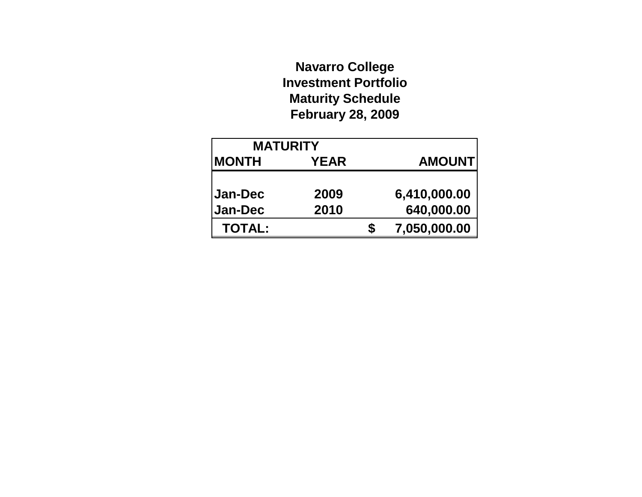# **Navarro College Investment Portfolio Maturity Schedule February 28, 2009**

| <b>MATURITY</b> |             |   |                |
|-----------------|-------------|---|----------------|
| <b>MONTH</b>    | <b>YEAR</b> |   | <b>AMOUNTI</b> |
|                 |             |   |                |
| Jan-Dec         | 2009        |   | 6,410,000.00   |
| <b>Jan-Dec</b>  | 2010        |   | 640,000.00     |
| <b>TOTAL:</b>   |             | S | 7,050,000.00   |